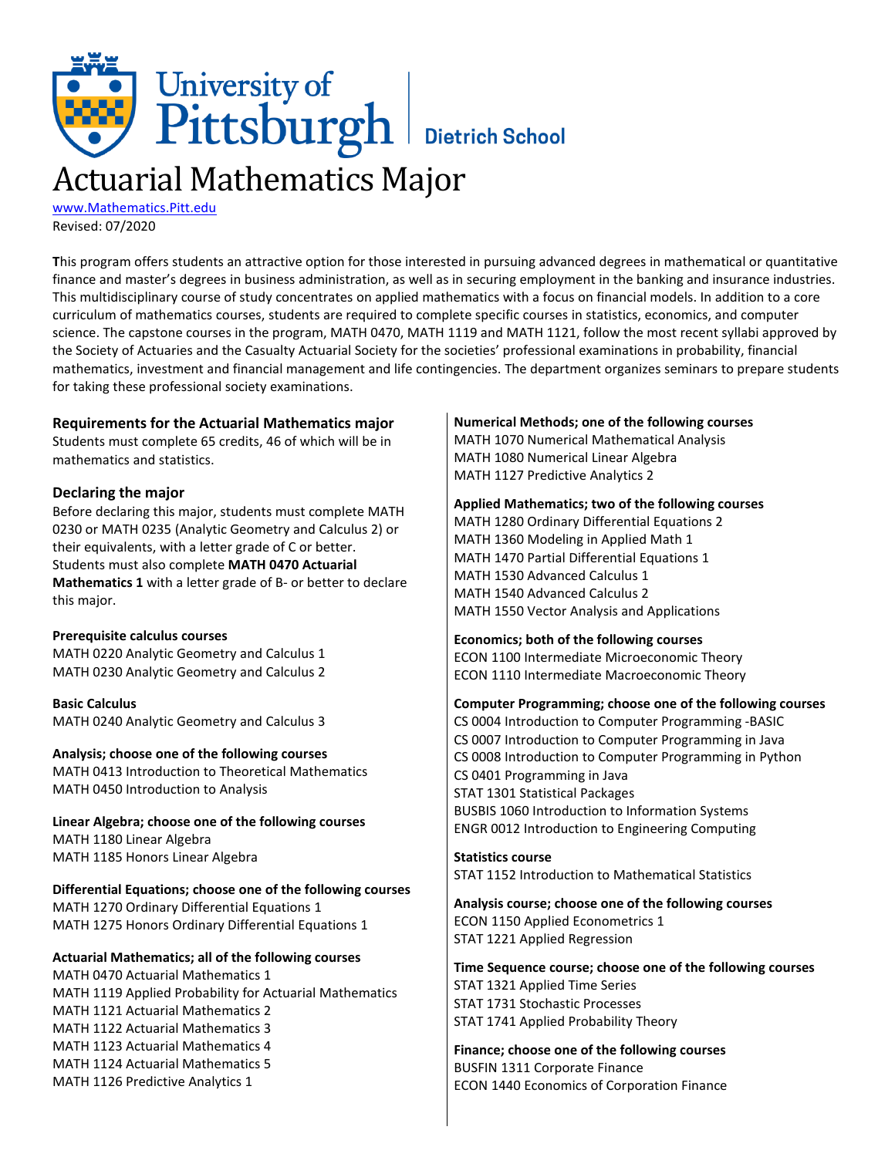# University of<br>Pittsburgh bietrich School

Actuarial Mathematics Major [www.Mathematics.Pitt.edu](http://www.mathematics.pitt.edu/)

Revised: 07/2020

**T**his program offers students an attractive option for those interested in pursuing advanced degrees in mathematical or quantitative finance and master's degrees in business administration, as well as in securing employment in the banking and insurance industries. This multidisciplinary course of study concentrates on applied mathematics with a focus on financial models. In addition to a core curriculum of mathematics courses, students are required to complete specific courses in statistics, economics, and computer science. The capstone courses in the program, MATH 0470, MATH 1119 and MATH 1121, follow the most recent syllabi approved by the Society of Actuaries and the Casualty Actuarial Society for the societies' professional examinations in probability, financial mathematics, investment and financial management and life contingencies. The department organizes seminars to prepare students for taking these professional society examinations.

# **Requirements for the Actuarial Mathematics major**

Students must complete 65 credits, 46 of which will be in mathematics and statistics.

# **Declaring the major**

Before declaring this major, students must complete MATH 0230 or MATH 0235 (Analytic Geometry and Calculus 2) or their equivalents, with a letter grade of C or better. Students must also complete **MATH 0470 Actuarial Mathematics 1** with a letter grade of B- or better to declare this major.

# **Prerequisite calculus courses** MATH 0220 Analytic Geometry and Calculus 1

MATH 0230 Analytic Geometry and Calculus 2

**Basic Calculus** MATH 0240 Analytic Geometry and Calculus 3

### **Analysis; choose one of the following courses**

MATH 0413 Introduction to Theoretical Mathematics MATH 0450 Introduction to Analysis

**Linear Algebra; choose one of the following courses** MATH 1180 Linear Algebra MATH 1185 Honors Linear Algebra

**Differential Equations; choose one of the following courses** MATH 1270 Ordinary Differential Equations 1 MATH 1275 Honors Ordinary Differential Equations 1

# **Actuarial Mathematics; all of the following courses**

MATH 0470 Actuarial Mathematics 1 MATH 1119 Applied Probability for Actuarial Mathematics MATH 1121 Actuarial Mathematics 2 MATH 1122 Actuarial Mathematics 3 MATH 1123 Actuarial Mathematics 4 MATH 1124 Actuarial Mathematics 5 MATH 1126 Predictive Analytics 1

### **Numerical Methods; one of the following courses**

MATH 1070 Numerical Mathematical Analysis MATH 1080 Numerical Linear Algebra MATH 1127 Predictive Analytics 2

### **Applied Mathematics; two of the following courses**

MATH 1280 Ordinary Differential Equations 2 MATH 1360 Modeling in Applied Math 1 MATH 1470 Partial Differential Equations 1 MATH 1530 Advanced Calculus 1 MATH 1540 Advanced Calculus 2 MATH 1550 Vector Analysis and Applications

**Economics; both of the following courses** ECON 1100 Intermediate Microeconomic Theory ECON 1110 Intermediate Macroeconomic Theory

### **Computer Programming; choose one of the following courses**

CS 0004 Introduction to Computer Programming -BASIC CS 0007 Introduction to Computer Programming in Java CS 0008 Introduction to Computer Programming in Python CS 0401 Programming in Java STAT 1301 Statistical Packages BUSBIS 1060 Introduction to Information Systems ENGR 0012 Introduction to Engineering Computing

**Statistics course** STAT 1152 Introduction to Mathematical Statistics

**Analysis course; choose one of the following courses** ECON 1150 Applied Econometrics 1 STAT 1221 Applied Regression

**Time Sequence course; choose one of the following courses** STAT 1321 Applied Time Series STAT 1731 Stochastic Processes STAT 1741 Applied Probability Theory

**Finance; choose one of the following courses** BUSFIN 1311 Corporate Finance ECON 1440 Economics of Corporation Finance